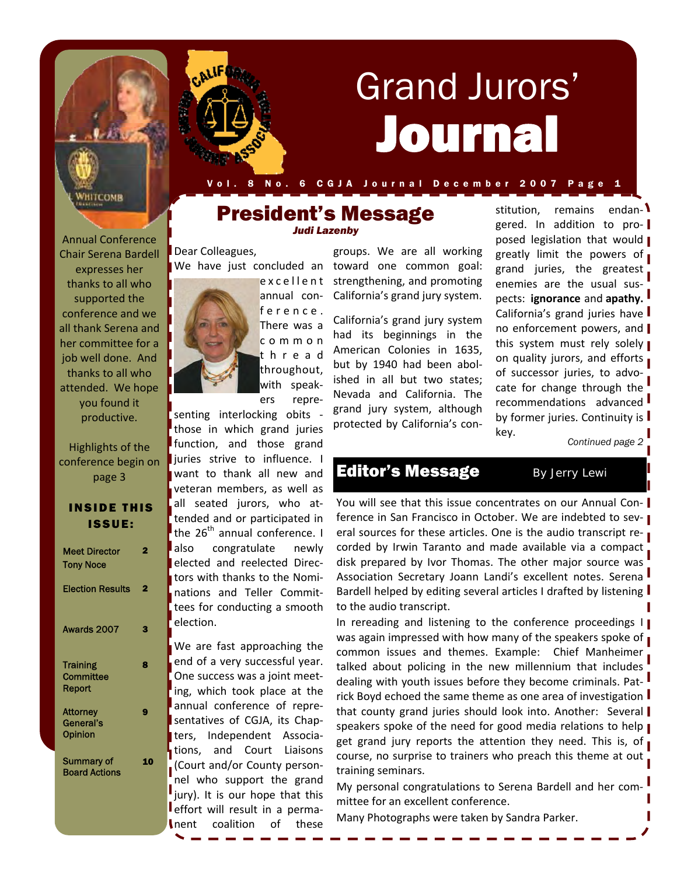

# Journal Grand Jurors'

VHITCOMB

Annual Conference Chair Serena Bardell 8 No. 6 C G J A J ournal December 2007

## President's Message *Judi Lazenby*

Dear Colleagues, We have just concluded an



Highlights of the conference begin on page 3

| <b>INSIDE THIS</b> |  |
|--------------------|--|
| ISSUE:             |  |

| <b>Meet Director</b><br><b>Tony Noce</b> | 2 |
|------------------------------------------|---|
| <b>Election Results</b>                  | 2 |
| Awards 2007                              | 3 |
| Training<br>Committee<br>Report          | 8 |
| Attorney<br>General's<br>Opinion         | ŋ |
| Summary of<br><b>Board Actions</b>       |   |



ference. There was a common thread throughout, with speak‐ ers repre‐

senting interlocking obits ‐ those in which grand juries function, and those grand juries strive to influence. I want to thank all new and veteran members, as well as all seated jurors, who at‐ tended and or participated in the  $26<sup>th</sup>$  annual conference. I also congratulate newly elected and reelected Direc‐ tors with thanks to the Nomi‐ nations and Teller Commit‐ tees for conducting a smooth election.

We are fast approaching the end of a very successful year. One success was a joint meet‐ ing, which took place at the annual conference of repre‐ sentatives of CGJA, its Chap‐ ters, Independent Associa‐ tions, and Court Liaisons (Court and/or County person‐ nel who support the grand jury). It is our hope that this effort will result in a perma‐ nent coalition of these

groups. We are all working toward one common goal: strengthening, and promoting California's grand jury system.

California's grand jury system had its beginnings in the American Colonies in 1635, but by 1940 had been abol‐ ished in all but two states; Nevada and California. The grand jury system, although protected by California's con‐

stitution, remains endangered. In addition to pro‐ posed legislation that would | greatly limit the powers of grand juries, the greatest enemies are the usual sus‐ pects: **ignorance** and **apathy.** California's grand juries have no enforcement powers, and this system must rely solely on quality jurors, and efforts of successor juries, to advo‐ cate for change through the recommendations advanced by former juries. Continuity is key.

*Continued page 2* 

# Editor's Message *By Jerry Lewi*

You will see that this issue concentrates on our Annual Conference in San Francisco in October. We are indebted to several sources for these articles. One is the audio transcript recorded by Irwin Taranto and made available via a compact disk prepared by Ivor Thomas. The other major source was Association Secretary Joann Landi's excellent notes. Serena Bardell helped by editing several articles I drafted by listening to the audio transcript.

In rereading and listening to the conference proceedings  $\mathbf{I}$ was again impressed with how many of the speakers spoke of common issues and themes. Example: Chief Manheimer talked about policing in the new millennium that includes dealing with youth issues before they become criminals. Patrick Boyd echoed the same theme as one area of investigation that county grand juries should look into. Another: Several speakers spoke of the need for good media relations to help get grand jury reports the attention they need. This is, of course, no surprise to trainers who preach this theme at out training seminars.

My personal congratulations to Serena Bardell and her committee for an excellent conference.

Many Photographs were taken by Sandra Parker.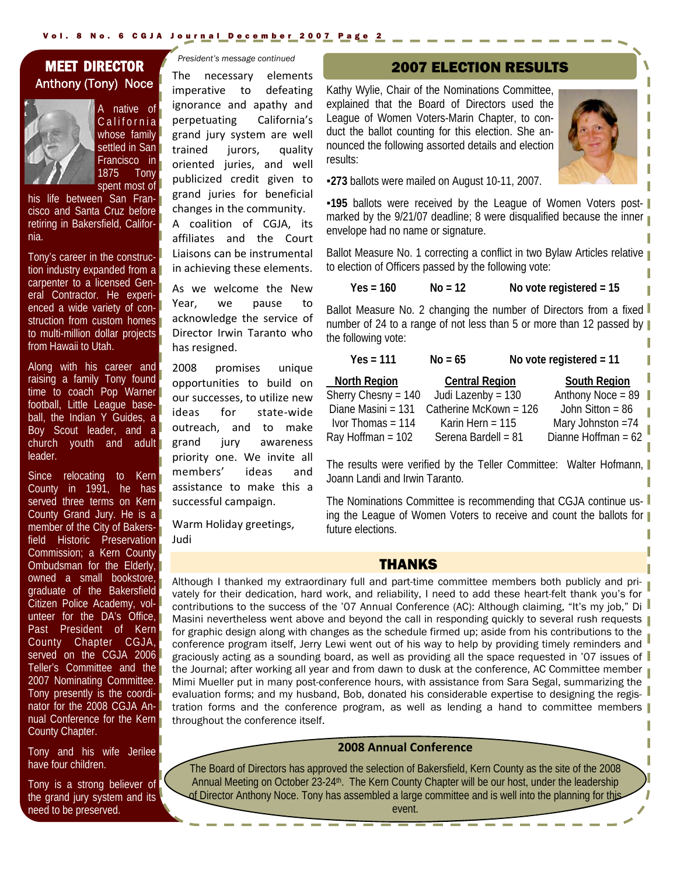## i MEET DIRECTOR Anthony (Tony) Noce



A native of California whose family settled in San Francisco in 1875 Tony spent most of

his life between San Francisco and Santa Cruz before retiring in Bakersfield, California.

Tony's career in the construction industry expanded from a carpenter to a licensed General Contractor. He experienced a wide variety of construction from custom homes to multi-million dollar projects from Hawaii to Utah.

Along with his career and raising a family Tony found time to coach Pop Warner football, Little League baseball, the Indian Y Guides, a Boy Scout leader, and a church youth and adult leader.

Since relocating to Kern County in 1991, he has served three terms on Kern County Grand Jury. He is a member of the City of Bakersfield Historic Preservation Commission; a Kern County Ombudsman for the Elderly, owned a small bookstore, graduate of the Bakersfield Citizen Police Academy, volunteer for the DA's Office, Past President of Kern County Chapter CGJA, served on the CGJA 2006 Teller's Committee and the 2007 Nominating Committee. Tony presently is the coordinator for the 2008 CGJA Annual Conference for the Kern County Chapter.

Tony and his wife Jerilee have four children.

Tony is a strong believer of the grand jury system and its need to be preserved.

*President's message continued* 

The necessary elements imperative to defeating ignorance and apathy and perpetuating California's grand jury system are well trained jurors, quality oriented juries, and well publicized credit given to grand juries for beneficial changes in the community.

A coalition of CGJA, its affiliates and the Court Liaisons can be instrumental in achieving these elements.

As we welcome the New Year, we pause to acknowledge the service of Director Irwin Taranto who has resigned.

2008 promises unique opportunities to build on our successes, to utilize new ideas for state‐wide outreach, and to make grand jury awareness priority one. We invite all members' ideas and assistance to make this a successful campaign.

Warm Holiday greetings, Judi

## 2007 ELECTION RESULTS

Kathy Wylie, Chair of the Nominations Committee, explained that the Board of Directors used the League of Women Voters-Marin Chapter, to conduct the ballot counting for this election. She announced the following assorted details and election results:



▪**273** ballots were mailed on August 10-11, 2007.

**-195** ballots were received by the League of Women Voters postmarked by the 9/21/07 deadline; 8 were disqualified because the inner envelope had no name or signature.

Ballot Measure No. 1 correcting a conflict in two Bylaw Articles relative to election of Officers passed by the following vote:

**Yes = 160 No = 12 No vote registered = 15** 

Ballot Measure No. 2 changing the number of Directors from a fixed number of 24 to a range of not less than 5 or more than 12 passed by the following vote:

| $Yes = 111$           | $No = 65$                | No vote registered $= 11$ |
|-----------------------|--------------------------|---------------------------|
| <b>North Region</b>   | <b>Central Region</b>    | <b>South Region</b>       |
| Sherry Chesny = $140$ | Judi Lazenby = 130       | Anthony Noce = $89$       |
| Diane Masini = 131    | Catherine McKown = $126$ | John Sitton = $86$        |
| Ivor Thomas = $114$   | Karin Hern = $115$       | Mary Johnston $=74$       |
| Ray Hoffman = 102     | Serena Bardell = 81      | Dianne Hoffman = 62       |

The results were verified by the Teller Committee: Walter Hofmann, Joann Landi and Irwin Taranto.

The Nominations Committee is recommending that CGJA continue using the League of Women Voters to receive and count the ballots for future elections.

## THANKS

Although I thanked my extraordinary full and part-time committee members both publicly and privately for their dedication, hard work, and reliability, I need to add these heart-felt thank you's for contributions to the success of the '07 Annual Conference (AC): Although claiming, "It's my job," Di Masini nevertheless went above and beyond the call in responding quickly to several rush requests for graphic design along with changes as the schedule firmed up; aside from his contributions to the conference program itself, Jerry Lewi went out of his way to help by providing timely reminders and graciously acting as a sounding board, as well as providing all the space requested in '07 issues of the Journal; after working all year and from dawn to dusk at the conference, AC Committee member Mimi Mueller put in many post-conference hours, with assistance from Sara Segal, summarizing the evaluation forms; and my husband, Bob, donated his considerable expertise to designing the registration forms and the conference program, as well as lending a hand to committee members throughout the conference itself.

## **2008 Annual Conference**

The Board of Directors has approved the selection of Bakersfield, Kern County as the site of the 2008 Annual Meeting on October 23-24th. The Kern County Chapter will be our host, under the leadership of Director Anthony Noce. Tony has assembled a large committee and is well into the planning for this event.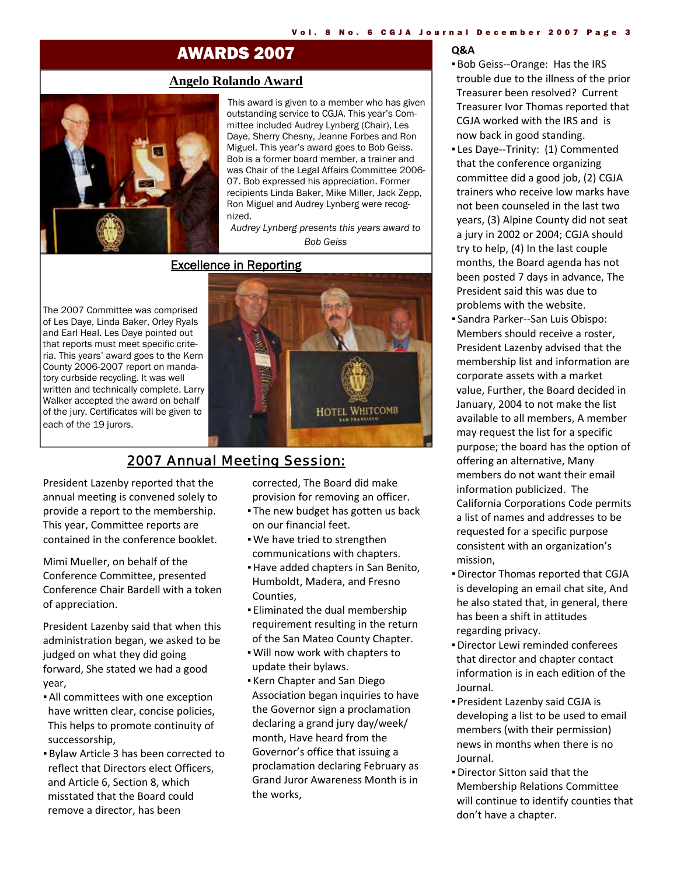# AWARDS 2007

## **Angelo Rolando Award**



This award is given to a member who has given outstanding service to CGJA. This year's Committee included Audrey Lynberg (Chair), Les Daye, Sherry Chesny, Jeanne Forbes and Ron Miguel. This year's award goes to Bob Geiss. Bob is a former board member, a trainer and was Chair of the Legal Affairs Committee 2006- 07. Bob expressed his appreciation. Former recipients Linda Baker, Mike Miller, Jack Zepp, Ron Miguel and Audrey Lynberg were recognized.

*Audrey Lynberg presents this years award to Bob Geiss* 

## Excellence in Reporting

The 2007 Committee was comprised of Les Daye, Linda Baker, Orley Ryals and Earl Heal. Les Daye pointed out that reports must meet specific criteria. This years' award goes to the Kern County 2006-2007 report on mandatory curbside recycling. It was well written and technically complete. Larry Walker accepted the award on behalf of the jury. Certificates will be given to each of the 19 jurors.



## 2007 Annual Meeting Session:

President Lazenby reported that the annual meeting is convened solely to provide a report to the membership. This year, Committee reports are contained in the conference booklet.

Mimi Mueller, on behalf of the Conference Committee, presented Conference Chair Bardell with a token of appreciation.

President Lazenby said that when this administration began, we asked to be judged on what they did going forward, She stated we had a good year,

- **.** All committees with one exception have written clear, concise policies, This helps to promote continuity of successorship,
- Bylaw Article 3 has been corrected to reflect that Directors elect Officers, and Article 6, Section 8, which misstated that the Board could remove a director, has been

corrected, The Board did make provision for removing an officer.

- **The new budget has gotten us back** on our financial feet.
- . We have tried to strengthen communications with chapters.
- ▪Have added chapters in San Benito, Humboldt, Madera, and Fresno Counties,
- Eliminated the dual membership requirement resulting in the return of the San Mateo County Chapter.
- Will now work with chapters to update their bylaws.
- Kern Chapter and San Diego Association began inquiries to have the Governor sign a proclamation declaring a grand jury day/week/ month, Have heard from the Governor's office that issuing a proclamation declaring February as Grand Juror Awareness Month is in the works,

#### **Q&A**

- Bob Geiss‐‐Orange: Has the IRS trouble due to the illness of the prior Treasurer been resolved? Current Treasurer Ivor Thomas reported that CGJA worked with the IRS and is now back in good standing.
- Les Daye--Trinity: (1) Commented that the conference organizing committee did a good job, (2) CGJA trainers who receive low marks have not been counseled in the last two years, (3) Alpine County did not seat a jury in 2002 or 2004; CGJA should try to help, (4) In the last couple months, the Board agenda has not been posted 7 days in advance, The President said this was due to problems with the website.
- Sandra Parker‐‐San Luis Obispo: Members should receive a roster, President Lazenby advised that the membership list and information are corporate assets with a market value, Further, the Board decided in January, 2004 to not make the list available to all members, A member may request the list for a specific purpose; the board has the option of offering an alternative, Many members do not want their email information publicized. The California Corporations Code permits a list of names and addresses to be requested for a specific purpose consistent with an organization's mission,
- ▪Director Thomas reported that CGJA is developing an email chat site, And he also stated that, in general, there has been a shift in attitudes regarding privacy.
- ▪Director Lewi reminded conferees that director and chapter contact information is in each edition of the Journal.
- President Lazenby said CGJA is developing a list to be used to email members (with their permission) news in months when there is no Journal.
- ▪Director Sitton said that the Membership Relations Committee will continue to identify counties that don't have a chapter.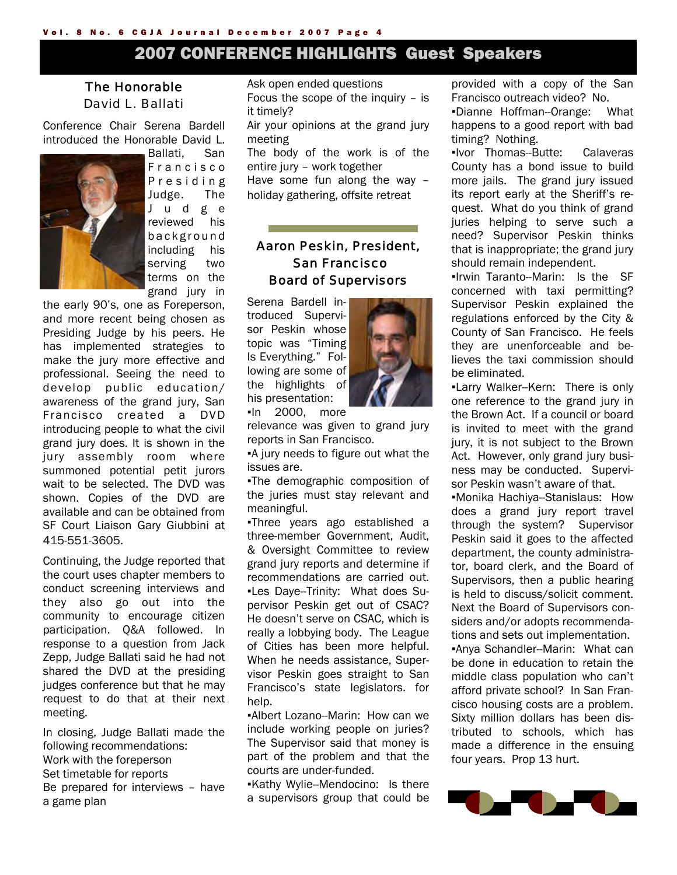# 2007 CONFERENCE HIGHLIGHTS Guest Speakers

## The Honorable David L. Ballati

Conference Chair Serena Bardell introduced the Honorable David L.



Ballati, San F r a n c i s c o P r e s i d i n g Judge. The J u d g e reviewed his b a c k g r o u n d including his serving two terms on the grand jury in

the early 90's, one as Foreperson, and more recent being chosen as Presiding Judge by his peers. He has implemented strategies to make the jury more effective and professional. Seeing the need to develop public education/ awareness of the grand jury, San Francisco created a DVD introducing people to what the civil grand jury does. It is shown in the jury assembly room where summoned potential petit jurors wait to be selected. The DVD was shown. Copies of the DVD are available and can be obtained from SF Court Liaison Gary Giubbini at 415-551-3605.

Continuing, the Judge reported that the court uses chapter members to conduct screening interviews and they also go out into the community to encourage citizen participation. Q&A followed. In response to a question from Jack Zepp, Judge Ballati said he had not shared the DVD at the presiding judges conference but that he may request to do that at their next meeting.

In closing, Judge Ballati made the following recommendations: Work with the foreperson Set timetable for reports Be prepared for interviews – have a game plan

Ask open ended questions Focus the scope of the inquiry – is it timely? Air your opinions at the grand jury meeting

The body of the work is of the entire jury – work together Have some fun along the way – holiday gathering, offsite retreat

## Aaron Peskin, President, San Francisco Board of Supervisors

Serena Bardell introduced Supervisor Peskin whose topic was "Timing Is Everything." Following are some of the highlights of his presentation: ▪In 2000, more

relevance was given to grand jury reports in San Francisco.

▪A jury needs to figure out what the issues are.

▪The demographic composition of the juries must stay relevant and meaningful.

▪Three years ago established a three-member Government, Audit, & Oversight Committee to review grand jury reports and determine if recommendations are carried out. ▪Les Daye--Trinity: What does Supervisor Peskin get out of CSAC? He doesn't serve on CSAC, which is really a lobbying body. The League of Cities has been more helpful. When he needs assistance, Supervisor Peskin goes straight to San Francisco's state legislators. for help.

▪Albert Lozano--Marin: How can we include working people on juries? The Supervisor said that money is part of the problem and that the courts are under-funded.

▪Kathy Wylie--Mendocino: Is there a supervisors group that could be provided with a copy of the San Francisco outreach video? No.

▪Dianne Hoffman--Orange: What happens to a good report with bad timing? Nothing.

▪Ivor Thomas--Butte: Calaveras County has a bond issue to build more jails. The grand jury issued its report early at the Sheriff's request. What do you think of grand juries helping to serve such a need? Supervisor Peskin thinks that is inappropriate; the grand jury should remain independent.

▪Irwin Taranto--Marin: Is the SF concerned with taxi permitting? Supervisor Peskin explained the regulations enforced by the City & County of San Francisco. He feels they are unenforceable and believes the taxi commission should be eliminated.

▪Larry Walker--Kern: There is only one reference to the grand jury in the Brown Act. If a council or board is invited to meet with the grand jury, it is not subject to the Brown Act. However, only grand jury business may be conducted. Supervisor Peskin wasn't aware of that.

▪Monika Hachiya--Stanislaus: How does a grand jury report travel through the system? Supervisor Peskin said it goes to the affected department, the county administrator, board clerk, and the Board of Supervisors, then a public hearing is held to discuss/solicit comment. Next the Board of Supervisors considers and/or adopts recommendations and sets out implementation. ▪Anya Schandler--Marin: What can be done in education to retain the middle class population who can't afford private school? In San Francisco housing costs are a problem. Sixty million dollars has been distributed to schools, which has made a difference in the ensuing four years. Prop 13 hurt.



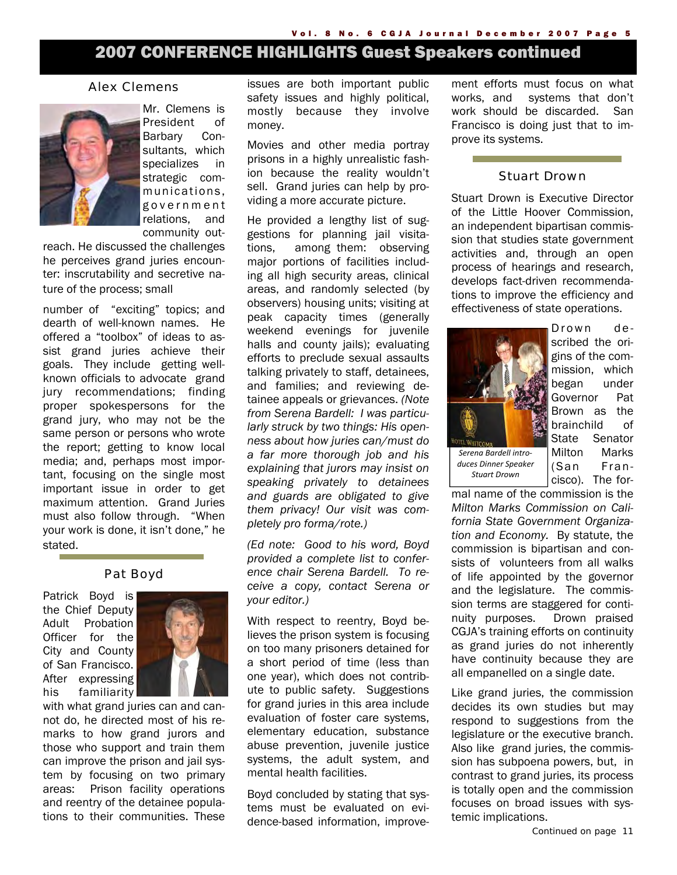# 2007 CONFERENCE HIGHLIGHTS Guest Speakers continued

## Alex Clemens



Mr. Clemens is President of Barbary Consultants, which specializes in strategic communications, g o v e r n m e n t relations, and community out-

reach. He discussed the challenges he perceives grand juries encounter: inscrutability and secretive nature of the process; small

number of "exciting" topics; and dearth of well-known names. He offered a "toolbox" of ideas to assist grand juries achieve their goals. They include getting wellknown officials to advocate grand jury recommendations; finding proper spokespersons for the grand jury, who may not be the same person or persons who wrote the report; getting to know local media; and, perhaps most important, focusing on the single most important issue in order to get maximum attention. Grand Juries must also follow through. "When your work is done, it isn't done," he stated.

## Pat Boyd

Patrick Boyd is the Chief Deputy Adult Probation Officer for the City and County of San Francisco. After expressing his familiarity



with what grand juries can and cannot do, he directed most of his remarks to how grand jurors and those who support and train them can improve the prison and jail system by focusing on two primary areas: Prison facility operations and reentry of the detainee populations to their communities. These

issues are both important public safety issues and highly political, mostly because they involve money.

Movies and other media portray prisons in a highly unrealistic fashion because the reality wouldn't sell. Grand juries can help by providing a more accurate picture.

He provided a lengthy list of suggestions for planning jail visitations, among them: observing major portions of facilities including all high security areas, clinical areas, and randomly selected (by observers) housing units; visiting at peak capacity times (generally weekend evenings for juvenile halls and county jails); evaluating efforts to preclude sexual assaults talking privately to staff, detainees, and families; and reviewing detainee appeals or grievances. *(Note from Serena Bardell: I was particularly struck by two things: His openness about how juries can/must do a far more thorough job and his explaining that jurors may insist on speaking privately to detainees and guards are obligated to give them privacy! Our visit was completely pro forma/rote.)* 

*(Ed note: Good to his word, Boyd provided a complete list to conference chair Serena Bardell. To receive a copy, contact Serena or your editor.)* 

With respect to reentry, Boyd believes the prison system is focusing on too many prisoners detained for a short period of time (less than one year), which does not contribute to public safety. Suggestions for grand juries in this area include evaluation of foster care systems, elementary education, substance abuse prevention, juvenile justice systems, the adult system, and mental health facilities.

Boyd concluded by stating that systems must be evaluated on evidence-based information, improvement efforts must focus on what works, and systems that don't work should be discarded. San Francisco is doing just that to improve its systems.

## Stuart Drown

Stuart Drown is Executive Director of the Little Hoover Commission, an independent bipartisan commission that studies state government activities and, through an open process of hearings and research, develops fact-driven recommendations to improve the efficiency and effectiveness of state operations.



*duces Dinner Speaker Stuart Drown*

Drown described the origins of the commission, which began under Governor Pat Brown as the brainchild of State Senator Milton Marks (San Francisco). The for-

mal name of the commission is the *Milton Marks Commission on California State Government Organization and Economy.* By statute, the commission is bipartisan and consists of volunteers from all walks of life appointed by the governor and the legislature. The commission terms are staggered for continuity purposes. Drown praised CGJA's training efforts on continuity as grand juries do not inherently have continuity because they are all empanelled on a single date.

Like grand juries, the commission decides its own studies but may respond to suggestions from the legislature or the executive branch. Also like grand juries, the commission has subpoena powers, but, in contrast to grand juries, its process is totally open and the commission focuses on broad issues with systemic implications.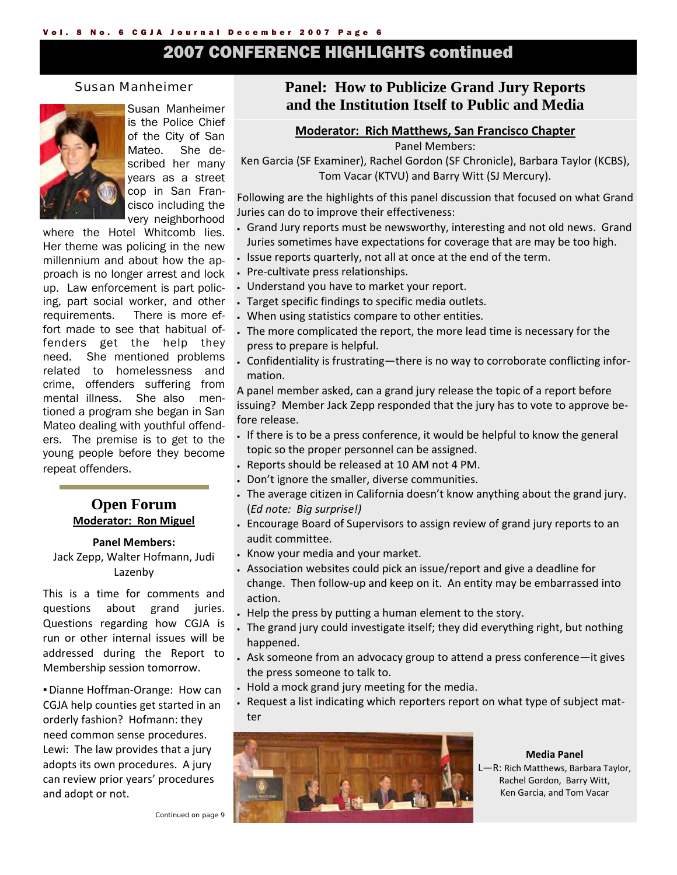# 2007 CONFERENCE HIGHLIGHTS continued

## Susan Manheimer



Susan Manheimer is the Police Chief of the City of San Mateo. She described her many years as a street cop in San Francisco including the very neighborhood

where the Hotel Whitcomb lies. Her theme was policing in the new millennium and about how the approach is no longer arrest and lock up. Law enforcement is part policing, part social worker, and other requirements. There is more effort made to see that habitual offenders get the help they need. She mentioned problems related to homelessness and crime, offenders suffering from mental illness. She also mentioned a program she began in San Mateo dealing with youthful offenders. The premise is to get to the young people before they become repeat offenders.

## **Open Forum Moderator: Ron Miguel**

#### **Panel Members:**

Jack Zepp, Walter Hofmann, Judi Lazenby

This is a time for comments and questions about grand juries. Questions regarding how CGJA is run or other internal issues will be addressed during the Report to Membership session tomorrow.

■ Dianne Hoffman-Orange: How can CGJA help counties get started in an orderly fashion? Hofmann: they need common sense procedures. Lewi: The law provides that a jury adopts its own procedures. A jury can review prior years' procedures and adopt or not.

## **Panel: How to Publicize Grand Jury Reports and the Institution Itself to Public and Media**

## **Moderator: Rich Matthews, San Francisco Chapter**

Panel Members:

Ken Garcia (SF Examiner), Rachel Gordon (SF Chronicle), Barbara Taylor (KCBS), Tom Vacar (KTVU) and Barry Witt (SJ Mercury).

Following are the highlights of this panel discussion that focused on what Grand Juries can do to improve their effectiveness:

- Grand Jury reports must be newsworthy, interesting and not old news. Grand Juries sometimes have expectations for coverage that are may be too high.
- Issue reports quarterly, not all at once at the end of the term.
- Pre‐cultivate press relationships.
- Understand you have to market your report.
- Target specific findings to specific media outlets.
- When using statistics compare to other entities.
- The more complicated the report, the more lead time is necessary for the press to prepare is helpful.
- Confidentiality is frustrating—there is no way to corroborate conflicting infor‐ mation.

A panel member asked, can a grand jury release the topic of a report before issuing? Member Jack Zepp responded that the jury has to vote to approve be‐ fore release.

- If there is to be a press conference, it would be helpful to know the general topic so the proper personnel can be assigned.
- Reports should be released at 10 AM not 4 PM.
- Don't ignore the smaller, diverse communities.
- The average citizen in California doesn't know anything about the grand jury. (*Ed note: Big surprise!)*
- Encourage Board of Supervisors to assign review of grand jury reports to an audit committee.
- Know your media and your market.
- Association websites could pick an issue/report and give a deadline for change. Then follow‐up and keep on it. An entity may be embarrassed into action.
- Help the press by putting a human element to the story.
- The grand jury could investigate itself; they did everything right, but nothing happened.
- Ask someone from an advocacy group to attend a press conference—it gives the press someone to talk to.
- Hold a mock grand jury meeting for the media.
- Request a list indicating which reporters report on what type of subject mat‐ ter



**Media Panel**  L—R: Rich Matthews, Barbara Taylor, Rachel Gordon, Barry Witt, Ken Garcia, and Tom Vacar

*Continued on page 9*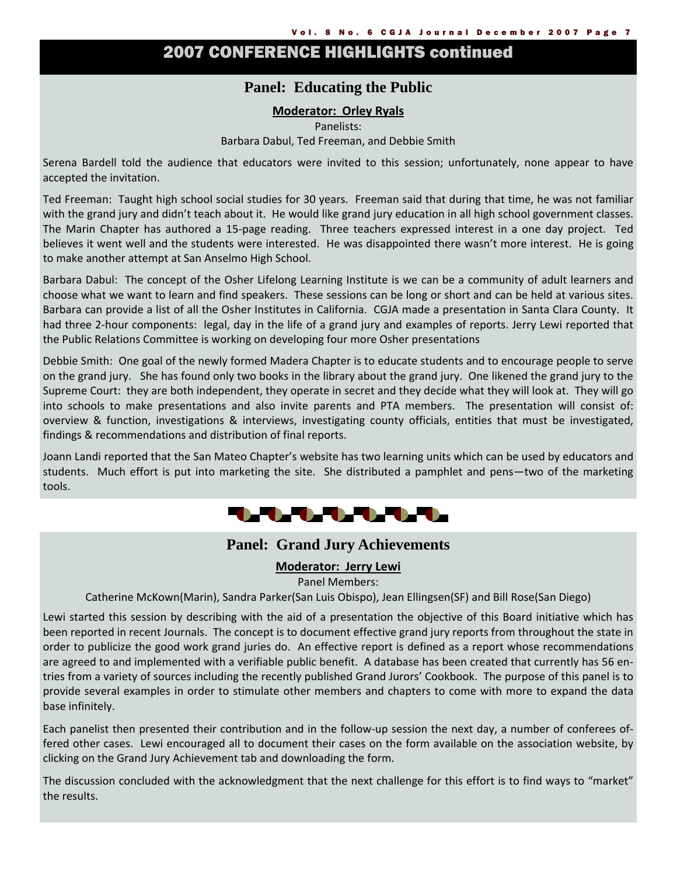# 2007 CONFERENCE HIGHLIGHTS continued

## **Panel: Educating the Public**

## **Moderator: Orley Ryals**

Panelists: Barbara Dabul, Ted Freeman, and Debbie Smith

Serena Bardell told the audience that educators were invited to this session; unfortunately, none appear to have accepted the invitation.

Ted Freeman: Taught high school social studies for 30 years. Freeman said that during that time, he was not familiar with the grand jury and didn't teach about it. He would like grand jury education in all high school government classes. The Marin Chapter has authored a 15-page reading. Three teachers expressed interest in a one day project. Ted believes it went well and the students were interested. He was disappointed there wasn't more interest. He is going to make another attempt at San Anselmo High School.

Barbara Dabul: The concept of the Osher Lifelong Learning Institute is we can be a community of adult learners and choose what we want to learn and find speakers. These sessions can be long or short and can be held at various sites. Barbara can provide a list of all the Osher Institutes in California. CGJA made a presentation in Santa Clara County. It had three 2-hour components: legal, day in the life of a grand jury and examples of reports. Jerry Lewi reported that the Public Relations Committee is working on developing four more Osher presentations

Debbie Smith: One goal of the newly formed Madera Chapter is to educate students and to encourage people to serve on the grand jury. She has found only two books in the library about the grand jury. One likened the grand jury to the Supreme Court: they are both independent, they operate in secret and they decide what they will look at. They will go into schools to make presentations and also invite parents and PTA members. The presentation will consist of: overview & function, investigations & interviews, investigating county officials, entities that must be investigated, findings & recommendations and distribution of final reports.

Joann Landi reported that the San Mateo Chapter's website has two learning units which can be used by educators and students. Much effort is put into marketing the site. She distributed a pamphlet and pens—two of the marketing tools.



## **Panel: Grand Jury Achievements**

## **Moderator: Jerry Lewi**

Panel Members:

Catherine McKown(Marin), Sandra Parker(San Luis Obispo), Jean Ellingsen(SF) and Bill Rose(San Diego)

Lewi started this session by describing with the aid of a presentation the objective of this Board initiative which has been reported in recent Journals. The concept is to document effective grand jury reports from throughout the state in order to publicize the good work grand juries do. An effective report is defined as a report whose recommendations are agreed to and implemented with a verifiable public benefit. A database has been created that currently has 56 en‐ tries from a variety of sources including the recently published Grand Jurors' Cookbook. The purpose of this panel is to provide several examples in order to stimulate other members and chapters to come with more to expand the data base infinitely.

Each panelist then presented their contribution and in the follow‐up session the next day, a number of conferees of‐ fered other cases. Lewi encouraged all to document their cases on the form available on the association website, by clicking on the Grand Jury Achievement tab and downloading the form.

The discussion concluded with the acknowledgment that the next challenge for this effort is to find ways to "market" the results.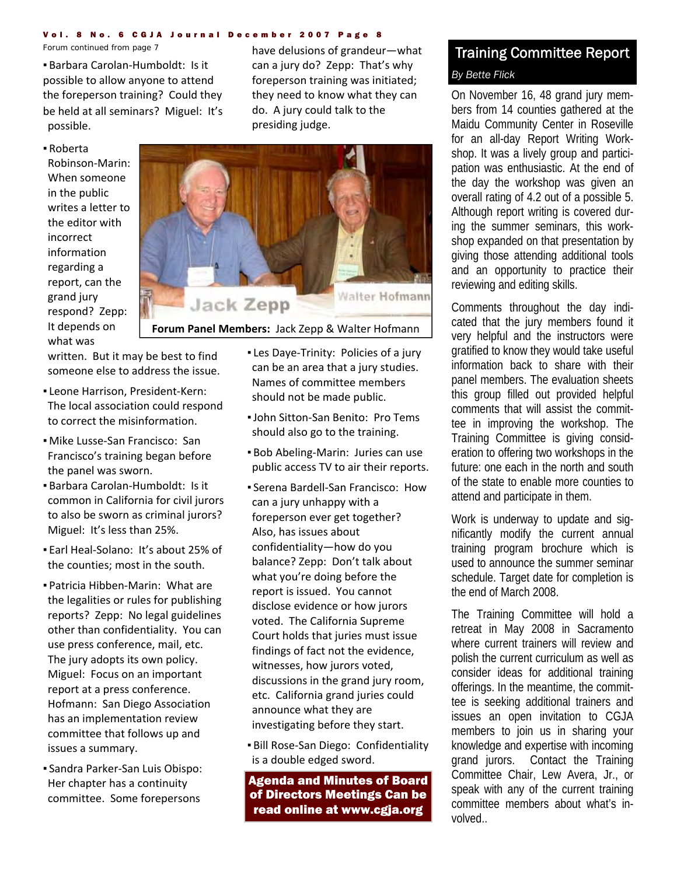#### Vol. 8 No. 6 CGJA Journal December 2007 Page 8

▪ Barbara Carolan‐Humboldt: Is it possible to allow anyone to attend the foreperson training? Could they be held at all seminars? Miguel: It's possible.

*Forum continued from page 7* have delusions of grandeur—what can a jury do? Zepp: That's why foreperson training was initiated; they need to know what they can do. A jury could talk to the presiding judge.

▪ Roberta Robinson‐Marin: When someone in the public writes a letter to the editor with incorrect information regarding a report, can the grand jury respond? Zepp: It depends on what was



## **Forum Panel Members:** Jack Zepp & Walter Hofmann

written. But it may be best to find someone else to address the issue.

- Leone Harrison, President‐Kern: The local association could respond to correct the misinformation.
- Mike Lusse‐San Francisco: San Francisco's training began before the panel was sworn.
- Barbara Carolan‐Humboldt: Is it common in California for civil jurors to also be sworn as criminal jurors? Miguel: It's less than 25%.
- Earl Heal‐Solano: It's about 25% of the counties; most in the south.
- Patricia Hibben‐Marin: What are the legalities or rules for publishing reports? Zepp: No legal guidelines other than confidentiality. You can use press conference, mail, etc. The jury adopts its own policy. Miguel: Focus on an important report at a press conference. Hofmann: San Diego Association has an implementation review committee that follows up and issues a summary.
- Sandra Parker‐San Luis Obispo: Her chapter has a continuity committee. Some forepersons
- Les Daye-Trinity: Policies of a jury can be an area that a jury studies. Names of committee members should not be made public.
- ▪John Sitton‐San Benito: Pro Tems should also go to the training.
- Bob Abeling-Marin: Juries can use public access TV to air their reports.
- Serena Bardell‐San Francisco: How can a jury unhappy with a foreperson ever get together? Also, has issues about confidentiality—how do you balance? Zepp: Don't talk about what you're doing before the report is issued. You cannot disclose evidence or how jurors voted. The California Supreme Court holds that juries must issue findings of fact not the evidence, witnesses, how jurors voted, discussions in the grand jury room, etc. California grand juries could announce what they are investigating before they start.
- Bill Rose‐San Diego: Confidentiality is a double edged sword.

Agenda and Minutes of Board of Directors Meetings Can be read online at www.cgja.org

## Training Committee Report *By Bette Flick*

On November 16, 48 grand jury members from 14 counties gathered at the Maidu Community Center in Roseville for an all-day Report Writing Workshop. It was a lively group and participation was enthusiastic. At the end of the day the workshop was given an overall rating of 4.2 out of a possible 5. Although report writing is covered during the summer seminars, this workshop expanded on that presentation by giving those attending additional tools and an opportunity to practice their reviewing and editing skills.

Comments throughout the day indicated that the jury members found it very helpful and the instructors were gratified to know they would take useful information back to share with their panel members. The evaluation sheets this group filled out provided helpful comments that will assist the committee in improving the workshop. The Training Committee is giving consideration to offering two workshops in the future: one each in the north and south of the state to enable more counties to attend and participate in them.

Work is underway to update and significantly modify the current annual training program brochure which is used to announce the summer seminar schedule. Target date for completion is the end of March 2008.

The Training Committee will hold a retreat in May 2008 in Sacramento where current trainers will review and polish the current curriculum as well as consider ideas for additional training offerings. In the meantime, the committee is seeking additional trainers and issues an open invitation to CGJA members to join us in sharing your knowledge and expertise with incoming grand jurors. Contact the Training Committee Chair, Lew Avera, Jr., or speak with any of the current training committee members about what's involved..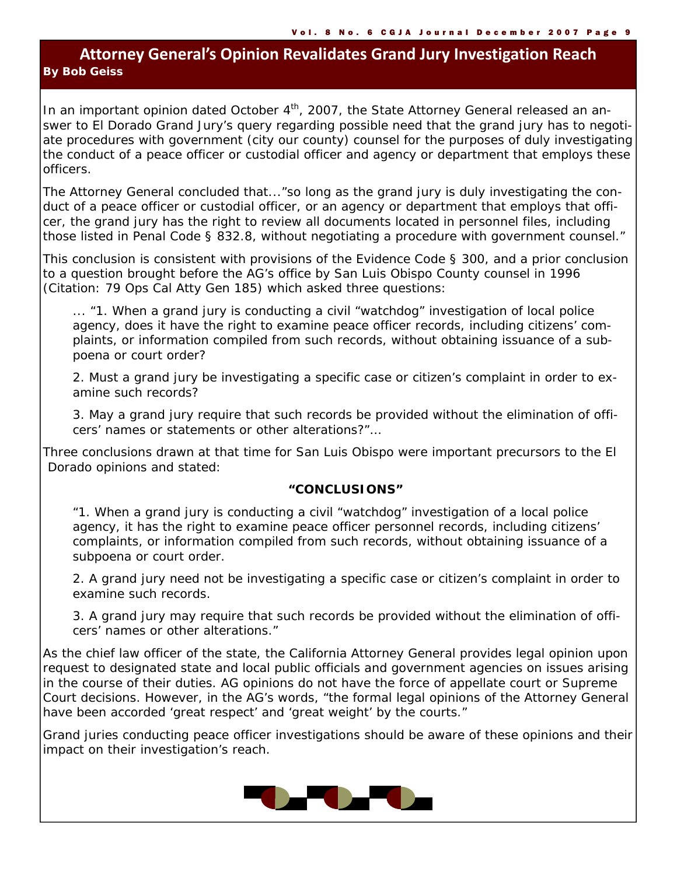## **Attorney General's Opinion Revalidates Grand Jury Investigation Reach** *By Bob Geiss*

In an important opinion dated October  $4<sup>th</sup>$ , 2007, the State Attorney General released an answer to El Dorado Grand Jury's query regarding possible need that the grand jury has to negotiate procedures with government (city our county) counsel for the purposes of duly investigating the conduct of a peace officer or custodial officer and agency or department that employs these officers.

The Attorney General concluded that..."so long as the grand jury is duly investigating the conduct of a peace officer or custodial officer, or an agency or department that employs that officer, the grand jury has the right to review all documents located in personnel files, including those listed in Penal Code § 832.8, without negotiating a procedure with government counsel."

This conclusion is consistent with provisions of the Evidence Code § 300, and a prior conclusion to a question brought before the AG's office by San Luis Obispo County counsel in 1996 (Citation: 79 Ops Cal Atty Gen 185) which asked three questions:

 ... "1. When a grand jury is conducting a civil "watchdog" investigation of local police agency, does it have the right to examine peace officer records, including citizens' complaints, or information compiled from such records, without obtaining issuance of a subpoena or court order?

 2. Must a grand jury be investigating a specific case or citizen's complaint in order to examine such records?

 3. May a grand jury require that such records be provided without the elimination of officers' names or statements or other alterations?"…

Three conclusions drawn at that time for San Luis Obispo were important precursors to the El Dorado opinions and stated:

## **"CONCLUSIONS"**

 "1. When a grand jury is conducting a civil "watchdog" investigation of a local police agency, it has the right to examine peace officer personnel records, including citizens' complaints, or information compiled from such records, without obtaining issuance of a subpoena or court order.

 2. A grand jury need not be investigating a specific case or citizen's complaint in order to examine such records.

 3. A grand jury may require that such records be provided without the elimination of officers' names or other alterations."

As the chief law officer of the state, the California Attorney General provides legal opinion upon request to designated state and local public officials and government agencies on issues arising in the course of their duties. AG opinions do not have the force of appellate court or Supreme Court decisions. However, in the AG's words, "the formal legal opinions of the Attorney General have been accorded 'great respect' and 'great weight' by the courts."

Grand juries conducting peace officer investigations should be aware of these opinions and their impact on their investigation's reach.

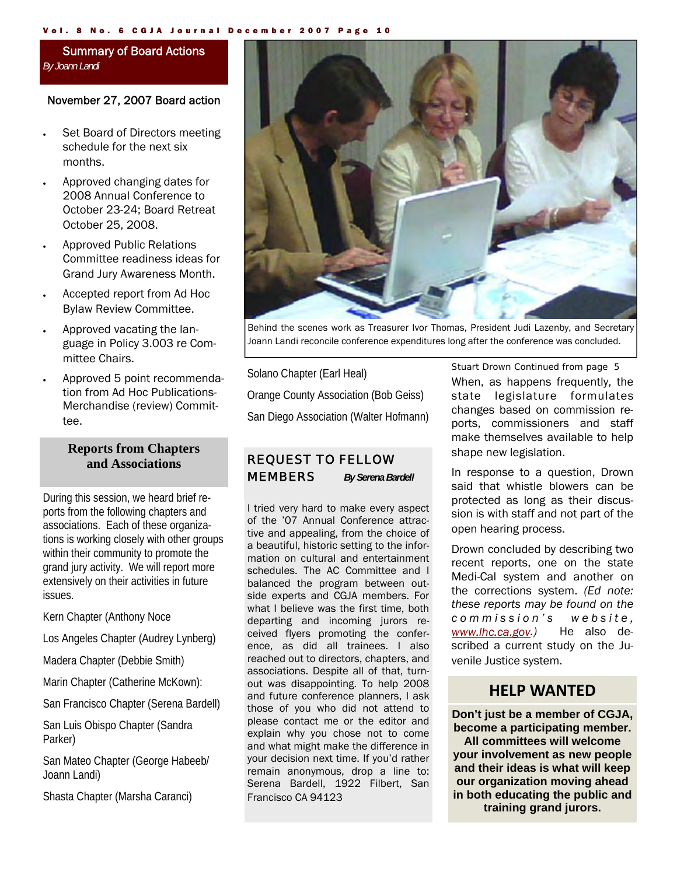#### Vol. 8 No. 6 CGJA Journal December 2007 Page 10

## Summary of Board Actions *By Joann Landi*

## November 27, 2007 Board action

- Set Board of Directors meeting schedule for the next six months.
- Approved changing dates for 2008 Annual Conference to October 23-24; Board Retreat October 25, 2008.
- Approved Public Relations Committee readiness ideas for Grand Jury Awareness Month.
- Accepted report from Ad Hoc Bylaw Review Committee.
- Approved vacating the language in Policy 3.003 re Committee Chairs.
- Approved 5 point recommendation from Ad Hoc Publications-Merchandise (review) Committee.

## **Reports from Chapters and Associations**

During this session, we heard brief reports from the following chapters and associations. Each of these organizations is working closely with other groups within their community to promote the grand jury activity. We will report more extensively on their activities in future issues.

Kern Chapter (Anthony Noce

Los Angeles Chapter (Audrey Lynberg)

Madera Chapter (Debbie Smith)

Marin Chapter (Catherine McKown):

San Francisco Chapter (Serena Bardell)

San Luis Obispo Chapter (Sandra Parker)

San Mateo Chapter (George Habeeb/ Joann Landi)

Shasta Chapter (Marsha Caranci)



Behind the scenes work as Treasurer Ivor Thomas, President Judi Lazenby, and Secretary Joann Landi reconcile conference expenditures long after the conference was concluded.

Solano Chapter (Earl Heal) Orange County Association (Bob Geiss) San Diego Association (Walter Hofmann)

## *REQUEST TO FELLOW MEMBERS By Serena Bardell*

I tried very hard to make every aspect of the '07 Annual Conference attractive and appealing, from the choice of a beautiful, historic setting to the information on cultural and entertainment schedules. The AC Committee and I balanced the program between outside experts and CGJA members. For what I believe was the first time, both departing and incoming jurors received flyers promoting the conference, as did all trainees. I also reached out to directors, chapters, and associations. Despite all of that, turnout was disappointing. To help 2008 and future conference planners, I ask those of you who did not attend to please contact me or the editor and explain why you chose not to come and what might make the difference in your decision next time. If you'd rather remain anonymous, drop a line to: Serena Bardell, 1922 Filbert, San Francisco CA 94123

## *Stuart Drown Continued from page 5*

When, as happens frequently, the state legislature formulates changes based on commission reports, commissioners and staff make themselves available to help shape new legislation.

In response to a question, Drown said that whistle blowers can be protected as long as their discussion is with staff and not part of the open hearing process.

Drown concluded by describing two recent reports, one on the state Medi-Cal system and another on the corrections system. *(Ed note: these reports may be found on the c o m m i s s i o n ' s w e b s i t e , www.lhc.ca.gov.)* He also described a current study on the Juvenile Justice system.

## **HELP WANTED**

**Don't just be a member of CGJA, become a participating member. All committees will welcome your involvement as new people and their ideas is what will keep our organization moving ahead in both educating the public and training grand jurors.**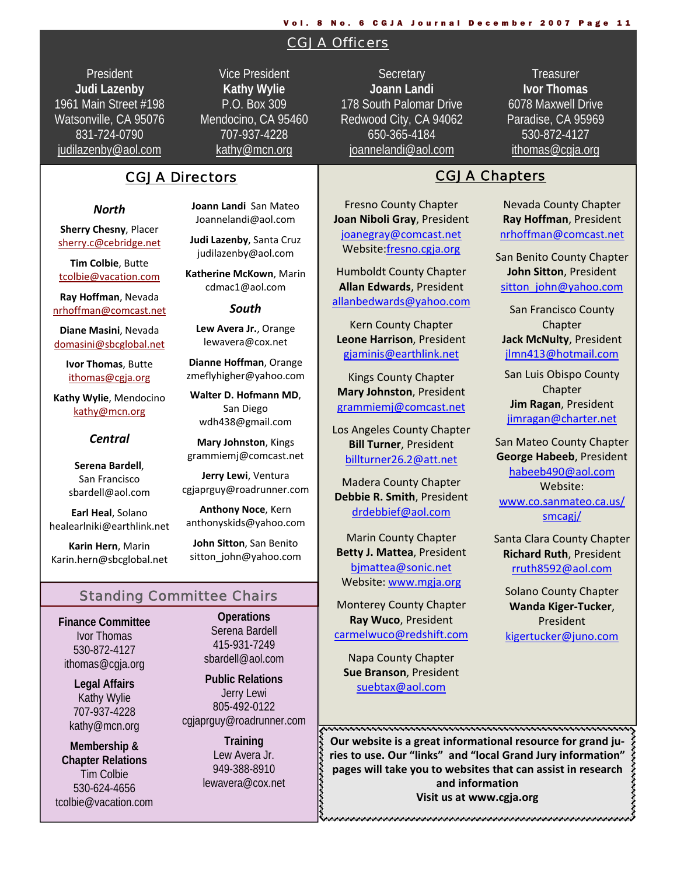#### Vol. 8 No. 6 CGJA Journal December 2007 Page 11

## CGJA Officers

**President Judi Lazenby** 1961 Main Street #198 Watsonville, CA 95076 831-724-0790 judilazenby@aol.com

Vice President **Kathy Wylie** P.O. Box 309 Mendocino, CA 95460 707-937-4228 kathy@mcn.org

## CGJA Directors **CGJA Chapters**

#### *North*

**Sherry Chesny**, Placer sherry.c@cebridge.net

**Tim Colbie**, Butte tcolbie@vacation.com

**Ray Hoffman**, Nevada nrhoffman@comcast.net

**Diane Masini**, Nevada domasini@sbcglobal.net

> **Ivor Thomas**, Butte ithomas@cgja.org

**Kathy Wylie**, Mendocino kathy@mcn.org

## *Central*

**Serena Bardell**, San Francisco sbardell@aol.com

**Earl Heal**, Solano healearlniki@earthlink.net

**Karin Hern**, Marin Karin.hern@sbcglobal.net **Joann Landi** San Mateo Joannelandi@aol.com

**Judi Lazenby**, Santa Cruz judilazenby@aol.com

**Katherine McKown**, Marin cdmac1@aol.com

## *South*

**Lew Avera Jr.**, Orange lewavera@cox.net

**Dianne Hoffman**, Orange zmeflyhigher@yahoo.com

**Walter D. Hofmann MD**, San Diego wdh438@gmail.com

**Mary Johnston**, Kings grammiemj@comcast.net

**Jerry Lewi**, Ventura cgjaprguy@roadrunner.com

**Anthony Noce**, Kern anthonyskids@yahoo.com

**John Sitton**, San Benito sitton\_john@yahoo.com

## Standing Committee Chairs

**Finance Committee**  Ivor Thomas 530-872-4127 ithomas@cgja.org

> **Legal Affairs**  Kathy Wylie 707-937-4228 kathy@mcn.org

**Membership & Chapter Relations**  Tim Colbie 530-624-4656 tcolbie@vacation.com

**Operations**  Serena Bardell 415-931-7249 sbardell@aol.com

**Public Relations**  Jerry Lewi 805-492-0122 cgjaprguy@roadrunner.com

> **Training**  Lew Avera Jr. 949-388-8910 lewavera@cox.net

**Secretary Joann Landi** 178 South Palomar Drive Redwood City, CA 94062 650-365-4184 joannelandi@aol.com

**Treasurer Ivor Thomas** 6078 Maxwell Drive Paradise, CA 95969 530-872-4127 ithomas@cgja.org

Fresno County Chapter **Joan Niboli Gray**, President joanegray@comcast.net Website:fresno.cgja.org

Humboldt County Chapter **Allan Edwards**, President allanbedwards@yahoo.com

Kern County Chapter **Leone Harrison**, President gjaminis@earthlink.net

Kings County Chapter **Mary Johnston**, President grammiemj@comcast.net

Los Angeles County Chapter **Bill Turner**, President billturner26.2@att.net

Madera County Chapter **Debbie R. Smith**, President drdebbief@aol.com

Marin County Chapter **Betty J. Mattea**, President bjmattea@sonic.net Website: www.mgja.org

Monterey County Chapter **Ray Wuco**, President carmelwuco@redshift.com

Napa County Chapter **Sue Branson**, President suebtax@aol.com

Nevada County Chapter **Ray Hoffman**, President nrhoffman@comcast.net

San Benito County Chapter **John Sitton**, President sitton\_john@yahoo.com

San Francisco County **Chapter Jack McNulty**, President jlmn413@hotmail.com

San Luis Obispo County Chapter **Jim Ragan**, President jimragan@charter.net

San Mateo County Chapter **George Habeeb**, President habeeb490@aol.com Website: www.co.sanmateo.ca.us/ smcagj/

Santa Clara County Chapter **Richard Ruth**, President rruth8592@aol.com

Solano County Chapter **Wanda Kiger‐Tucker**, President kigertucker@juno.com

<del>puunnannin muunnannin muunnannin muunnan</del> **Our website is a great informational resource for grand ju‐ ries to use. Our "links" and "local Grand Jury information" pages** will take you to websites that can assist in research pages will take you to websites that can assist in research  $\leftarrow$  and information **and information Visit us at www.cgja.org**